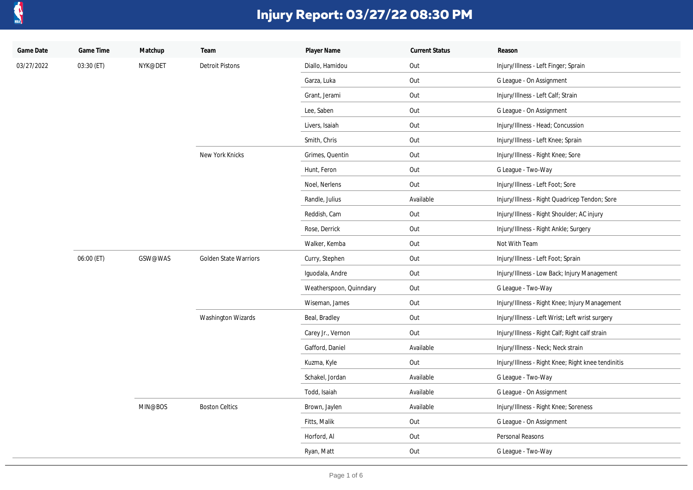

| Game Date  | Game Time  | Matchup | Team                         | Player Name             | <b>Current Status</b> | Reason                                             |
|------------|------------|---------|------------------------------|-------------------------|-----------------------|----------------------------------------------------|
| 03/27/2022 | 03:30 (ET) | NYK@DET | <b>Detroit Pistons</b>       | Diallo, Hamidou         | Out                   | Injury/Illness - Left Finger; Sprain               |
|            |            |         |                              | Garza, Luka             | Out                   | G League - On Assignment                           |
|            |            |         |                              | Grant, Jerami           | Out                   | Injury/Illness - Left Calf; Strain                 |
|            |            |         |                              | Lee, Saben              | Out                   | G League - On Assignment                           |
|            |            |         |                              | Livers, Isaiah          | Out                   | Injury/Illness - Head; Concussion                  |
|            |            |         |                              | Smith, Chris            | Out                   | Injury/Illness - Left Knee; Sprain                 |
|            |            |         | New York Knicks              | Grimes, Quentin         | Out                   | Injury/Illness - Right Knee; Sore                  |
|            |            |         |                              | Hunt, Feron             | Out                   | G League - Two-Way                                 |
|            |            |         |                              | Noel, Nerlens           | Out                   | Injury/Illness - Left Foot; Sore                   |
|            |            |         |                              | Randle, Julius          | Available             | Injury/Illness - Right Quadricep Tendon; Sore      |
|            |            |         |                              | Reddish, Cam            | Out                   | Injury/Illness - Right Shoulder; AC injury         |
|            |            |         |                              | Rose, Derrick           | Out                   | Injury/Illness - Right Ankle; Surgery              |
|            |            |         |                              | Walker, Kemba           | Out                   | Not With Team                                      |
|            | 06:00 (ET) | GSW@WAS | <b>Golden State Warriors</b> | Curry, Stephen          | Out                   | Injury/Illness - Left Foot; Sprain                 |
|            |            |         |                              | Iquodala, Andre         | Out                   | Injury/Illness - Low Back; Injury Management       |
|            |            |         |                              | Weatherspoon, Quinndary | Out                   | G League - Two-Way                                 |
|            |            |         |                              | Wiseman, James          | Out                   | Injury/Illness - Right Knee; Injury Management     |
|            |            |         | Washington Wizards           | Beal, Bradley           | Out                   | Injury/Illness - Left Wrist; Left wrist surgery    |
|            |            |         |                              | Carey Jr., Vernon       | Out                   | Injury/Illness - Right Calf; Right calf strain     |
|            |            |         |                              | Gafford, Daniel         | Available             | Injury/Illness - Neck; Neck strain                 |
|            |            |         |                              | Kuzma, Kyle             | Out                   | Injury/Illness - Right Knee; Right knee tendinitis |
|            |            |         |                              | Schakel, Jordan         | Available             | G League - Two-Way                                 |
|            |            |         |                              | Todd, Isaiah            | Available             | G League - On Assignment                           |
|            |            | MIN@BOS | <b>Boston Celtics</b>        | Brown, Jaylen           | Available             | Injury/Illness - Right Knee; Soreness              |
|            |            |         |                              | Fitts, Malik            | Out                   | G League - On Assignment                           |
|            |            |         |                              | Horford, Al             | Out                   | Personal Reasons                                   |
|            |            |         |                              | Ryan, Matt              | Out                   | G League - Two-Way                                 |
|            |            |         |                              |                         |                       |                                                    |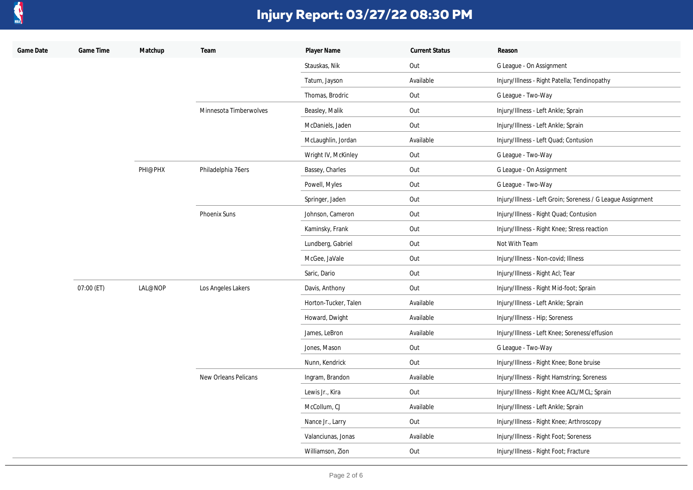

| Game Date | Game Time  | Matchup | Team                   | Player Name          | <b>Current Status</b> | Reason                                                      |
|-----------|------------|---------|------------------------|----------------------|-----------------------|-------------------------------------------------------------|
|           |            |         |                        | Stauskas, Nik        | Out                   | G League - On Assignment                                    |
|           |            |         |                        | Tatum, Jayson        | Available             | Injury/Illness - Right Patella; Tendinopathy                |
|           |            |         |                        | Thomas, Brodric      | Out                   | G League - Two-Way                                          |
|           |            |         | Minnesota Timberwolves | Beasley, Malik       | Out                   | Injury/Illness - Left Ankle; Sprain                         |
|           |            |         |                        | McDaniels, Jaden     | Out                   | Injury/Illness - Left Ankle; Sprain                         |
|           |            |         |                        | McLaughlin, Jordan   | Available             | Injury/Illness - Left Quad; Contusion                       |
|           |            |         |                        | Wright IV, McKinley  | Out                   | G League - Two-Way                                          |
|           |            | PHI@PHX | Philadelphia 76ers     | Bassey, Charles      | Out                   | G League - On Assignment                                    |
|           |            |         |                        | Powell, Myles        | Out                   | G League - Two-Way                                          |
|           |            |         |                        | Springer, Jaden      | Out                   | Injury/Illness - Left Groin; Soreness / G League Assignment |
|           |            |         | <b>Phoenix Suns</b>    | Johnson, Cameron     | Out                   | Injury/Illness - Right Quad; Contusion                      |
|           |            |         |                        | Kaminsky, Frank      | Out                   | Injury/Illness - Right Knee; Stress reaction                |
|           |            |         |                        | Lundberg, Gabriel    | Out                   | Not With Team                                               |
|           |            |         |                        | McGee, JaVale        | Out                   | Injury/Illness - Non-covid; Illness                         |
|           |            |         |                        | Saric, Dario         | Out                   | Injury/Illness - Right Acl; Tear                            |
|           | 07:00 (ET) | LAL@NOP | Los Angeles Lakers     | Davis, Anthony       | Out                   | Injury/Illness - Right Mid-foot; Sprain                     |
|           |            |         |                        | Horton-Tucker, Talen | Available             | Injury/Illness - Left Ankle; Sprain                         |
|           |            |         |                        | Howard, Dwight       | Available             | Injury/Illness - Hip; Soreness                              |
|           |            |         |                        | James, LeBron        | Available             | Injury/Illness - Left Knee; Soreness/effusion               |
|           |            |         |                        | Jones, Mason         | Out                   | G League - Two-Way                                          |
|           |            |         |                        | Nunn, Kendrick       | Out                   | Injury/Illness - Right Knee; Bone bruise                    |
|           |            |         | New Orleans Pelicans   | Ingram, Brandon      | Available             | Injury/Illness - Right Hamstring; Soreness                  |
|           |            |         |                        | Lewis Jr., Kira      | Out                   | Injury/Illness - Right Knee ACL/MCL; Sprain                 |
|           |            |         |                        | McCollum, CJ         | Available             | Injury/Illness - Left Ankle; Sprain                         |
|           |            |         |                        | Nance Jr., Larry     | Out                   | Injury/Illness - Right Knee; Arthroscopy                    |
|           |            |         |                        | Valanciunas, Jonas   | Available             | Injury/Illness - Right Foot; Soreness                       |
|           |            |         |                        | Williamson, Zion     | Out                   | Injury/Illness - Right Foot; Fracture                       |
|           |            |         |                        |                      |                       |                                                             |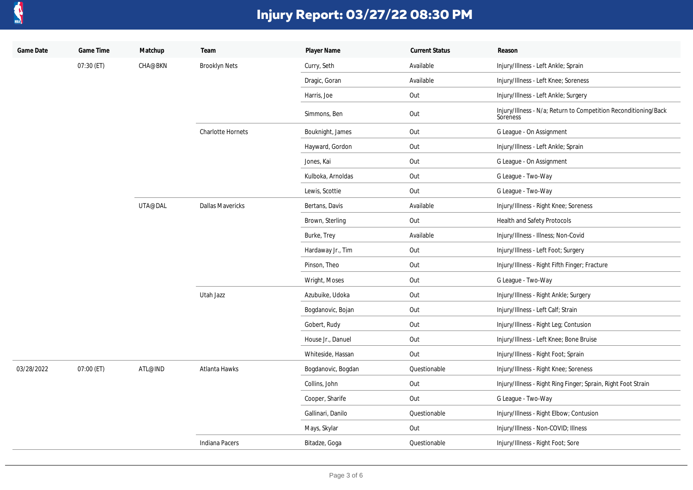

| Game Date  | Game Time  | Matchup        | Team                     | Player Name        | <b>Current Status</b> | Reason                                                                      |
|------------|------------|----------------|--------------------------|--------------------|-----------------------|-----------------------------------------------------------------------------|
|            | 07:30 (ET) | <b>CHA@BKN</b> | <b>Brooklyn Nets</b>     | Curry, Seth        | Available             | Injury/Illness - Left Ankle; Sprain                                         |
|            |            |                |                          | Dragic, Goran      | Available             | Injury/Illness - Left Knee; Soreness                                        |
|            |            |                |                          | Harris, Joe        | Out                   | Injury/Illness - Left Ankle; Surgery                                        |
|            |            |                |                          | Simmons, Ben       | Out                   | Injury/Illness - N/a; Return to Competition Reconditioning/Back<br>Soreness |
|            |            |                | <b>Charlotte Hornets</b> | Bouknight, James   | Out                   | G League - On Assignment                                                    |
|            |            |                |                          | Hayward, Gordon    | Out                   | Injury/Illness - Left Ankle; Sprain                                         |
|            |            |                |                          | Jones, Kai         | Out                   | G League - On Assignment                                                    |
|            |            |                |                          | Kulboka, Arnoldas  | Out                   | G League - Two-Way                                                          |
|            |            |                |                          | Lewis, Scottie     | Out                   | G League - Two-Way                                                          |
|            |            | UTA@DAL        | <b>Dallas Mavericks</b>  | Bertans, Davis     | Available             | Injury/Illness - Right Knee; Soreness                                       |
|            |            |                |                          | Brown, Sterling    | Out                   | Health and Safety Protocols                                                 |
|            |            |                |                          | Burke, Trey        | Available             | Injury/Illness - Illness; Non-Covid                                         |
|            |            |                |                          | Hardaway Jr., Tim  | Out                   | Injury/Illness - Left Foot; Surgery                                         |
|            |            |                |                          | Pinson, Theo       | Out                   | Injury/Illness - Right Fifth Finger; Fracture                               |
|            |            |                |                          | Wright, Moses      | Out                   | G League - Two-Way                                                          |
|            |            |                | Utah Jazz                | Azubuike, Udoka    | Out                   | Injury/Illness - Right Ankle; Surgery                                       |
|            |            |                |                          | Bogdanovic, Bojan  | Out                   | Injury/Illness - Left Calf; Strain                                          |
|            |            |                |                          | Gobert, Rudy       | Out                   | Injury/Illness - Right Leg; Contusion                                       |
|            |            |                |                          | House Jr., Danuel  | Out                   | Injury/Illness - Left Knee; Bone Bruise                                     |
|            |            |                |                          | Whiteside, Hassan  | Out                   | Injury/Illness - Right Foot; Sprain                                         |
| 03/28/2022 | 07:00 (ET) | ATL@IND        | Atlanta Hawks            | Bogdanovic, Bogdan | Questionable          | Injury/Illness - Right Knee; Soreness                                       |
|            |            |                |                          | Collins, John      | Out                   | Injury/Illness - Right Ring Finger; Sprain, Right Foot Strain               |
|            |            |                |                          | Cooper, Sharife    | Out                   | G League - Two-Way                                                          |
|            |            |                |                          | Gallinari, Danilo  | Questionable          | Injury/Illness - Right Elbow; Contusion                                     |
|            |            |                |                          | Mays, Skylar       | Out                   | Injury/Illness - Non-COVID; Illness                                         |
|            |            |                | Indiana Pacers           | Bitadze, Goga      | Questionable          | Injury/Illness - Right Foot; Sore                                           |
|            |            |                |                          |                    |                       |                                                                             |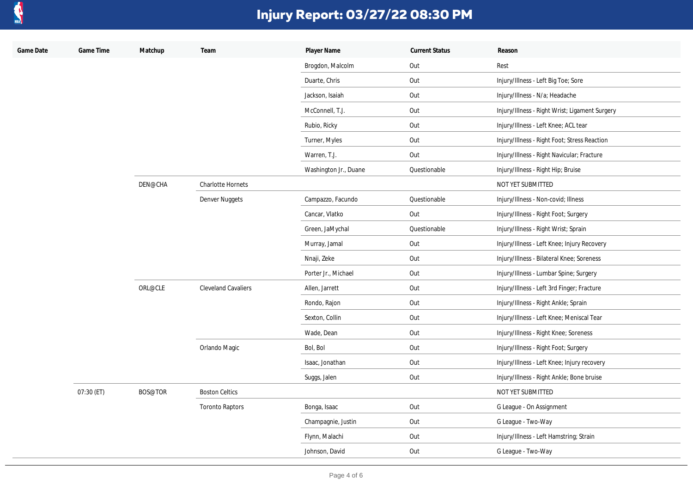

| Game Date | Game Time  | Matchup | Team                     | Player Name           | <b>Current Status</b> | Reason                                         |
|-----------|------------|---------|--------------------------|-----------------------|-----------------------|------------------------------------------------|
|           |            |         |                          | Brogdon, Malcolm      | Out                   | Rest                                           |
|           |            |         |                          | Duarte, Chris         | Out                   | Injury/Illness - Left Big Toe; Sore            |
|           |            |         |                          | Jackson, Isaiah       | Out                   | Injury/Illness - N/a; Headache                 |
|           |            |         |                          | McConnell, T.J.       | Out                   | Injury/Illness - Right Wrist; Ligament Surgery |
|           |            |         |                          | Rubio, Ricky          | Out                   | Injury/Illness - Left Knee; ACL tear           |
|           |            |         |                          | Turner, Myles         | Out                   | Injury/Illness - Right Foot; Stress Reaction   |
|           |            |         |                          | Warren, T.J.          | Out                   | Injury/Illness - Right Navicular; Fracture     |
|           |            |         |                          | Washington Jr., Duane | Questionable          | Injury/Illness - Right Hip; Bruise             |
|           |            | DEN@CHA | <b>Charlotte Hornets</b> |                       |                       | NOT YET SUBMITTED                              |
|           |            |         | Denver Nuggets           | Campazzo, Facundo     | Questionable          | Injury/Illness - Non-covid; Illness            |
|           |            |         |                          | Cancar, Vlatko        | Out                   | Injury/Illness - Right Foot; Surgery           |
|           |            |         |                          | Green, JaMychal       | Questionable          | Injury/Illness - Right Wrist; Sprain           |
|           |            |         |                          | Murray, Jamal         | Out                   | Injury/Illness - Left Knee; Injury Recovery    |
|           |            |         |                          | Nnaji, Zeke           | Out                   | Injury/Illness - Bilateral Knee; Soreness      |
|           |            |         |                          | Porter Jr., Michael   | Out                   | Injury/Illness - Lumbar Spine; Surgery         |
|           |            | ORL@CLE | Cleveland Cavaliers      | Allen, Jarrett        | Out                   | Injury/Illness - Left 3rd Finger; Fracture     |
|           |            |         |                          | Rondo, Rajon          | Out                   | Injury/Illness - Right Ankle; Sprain           |
|           |            |         |                          | Sexton, Collin        | Out                   | Injury/Illness - Left Knee; Meniscal Tear      |
|           |            |         |                          | Wade, Dean            | Out                   | Injury/Illness - Right Knee; Soreness          |
|           |            |         | Orlando Magic            | Bol, Bol              | Out                   | Injury/Illness - Right Foot; Surgery           |
|           |            |         |                          | Isaac, Jonathan       | Out                   | Injury/Illness - Left Knee; Injury recovery    |
|           |            |         |                          | Suggs, Jalen          | Out                   | Injury/Illness - Right Ankle; Bone bruise      |
|           | 07:30 (ET) | BOS@TOR | <b>Boston Celtics</b>    |                       |                       | NOT YET SUBMITTED                              |
|           |            |         | <b>Toronto Raptors</b>   | Bonga, Isaac          | Out                   | G League - On Assignment                       |
|           |            |         |                          | Champagnie, Justin    | Out                   | G League - Two-Way                             |
|           |            |         |                          | Flynn, Malachi        | Out                   | Injury/Illness - Left Hamstring; Strain        |
|           |            |         |                          | Johnson, David        | Out                   | G League - Two-Way                             |
|           |            |         |                          |                       |                       |                                                |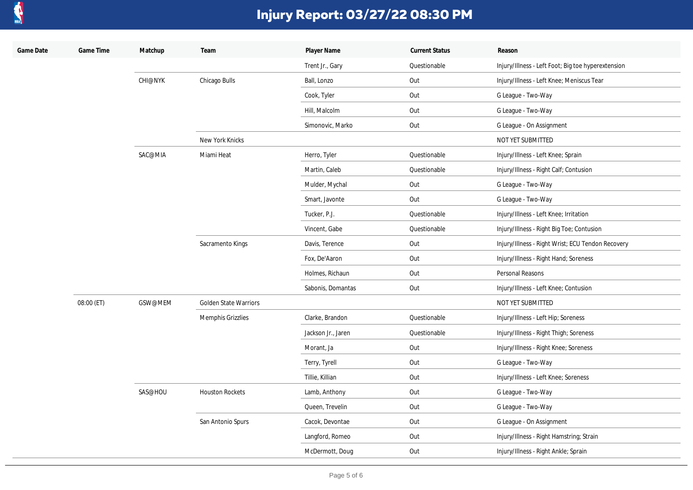

| Game Date | Game Time  | Matchup        | Team                         | Player Name        | <b>Current Status</b> | Reason                                             |
|-----------|------------|----------------|------------------------------|--------------------|-----------------------|----------------------------------------------------|
|           |            |                |                              | Trent Jr., Gary    | Questionable          | Injury/Illness - Left Foot; Big toe hyperextension |
|           |            | <b>CHI@NYK</b> | Chicago Bulls                | Ball, Lonzo        | Out                   | Injury/Illness - Left Knee; Meniscus Tear          |
|           |            |                |                              | Cook, Tyler        | Out                   | G League - Two-Way                                 |
|           |            |                |                              | Hill, Malcolm      | Out                   | G League - Two-Way                                 |
|           |            |                |                              | Simonovic, Marko   | Out                   | G League - On Assignment                           |
|           |            |                | New York Knicks              |                    |                       | NOT YET SUBMITTED                                  |
|           |            | SAC@MIA        | Miami Heat                   | Herro, Tyler       | Questionable          | Injury/Illness - Left Knee; Sprain                 |
|           |            |                |                              | Martin, Caleb      | Questionable          | Injury/Illness - Right Calf; Contusion             |
|           |            |                |                              | Mulder, Mychal     | Out                   | G League - Two-Way                                 |
|           |            |                |                              | Smart, Javonte     | Out                   | G League - Two-Way                                 |
|           |            |                |                              | Tucker, P.J.       | Questionable          | Injury/Illness - Left Knee; Irritation             |
|           |            |                |                              | Vincent, Gabe      | Questionable          | Injury/Illness - Right Big Toe; Contusion          |
|           |            |                | Sacramento Kings             | Davis, Terence     | Out                   | Injury/Illness - Right Wrist; ECU Tendon Recovery  |
|           |            |                |                              | Fox, De'Aaron      | Out                   | Injury/Illness - Right Hand; Soreness              |
|           |            |                |                              | Holmes, Richaun    | Out                   | Personal Reasons                                   |
|           |            |                |                              | Sabonis, Domantas  | Out                   | Injury/Illness - Left Knee; Contusion              |
|           | 08:00 (ET) | GSW@MEM        | <b>Golden State Warriors</b> |                    |                       | NOT YET SUBMITTED                                  |
|           |            |                | Memphis Grizzlies            | Clarke, Brandon    | Questionable          | Injury/Illness - Left Hip; Soreness                |
|           |            |                |                              | Jackson Jr., Jaren | Questionable          | Injury/Illness - Right Thigh; Soreness             |
|           |            |                |                              | Morant, Ja         | Out                   | Injury/Illness - Right Knee; Soreness              |
|           |            |                |                              | Terry, Tyrell      | Out                   | G League - Two-Way                                 |
|           |            |                |                              | Tillie, Killian    | Out                   | Injury/Illness - Left Knee; Soreness               |
|           |            | SAS@HOU        | <b>Houston Rockets</b>       | Lamb, Anthony      | Out                   | G League - Two-Way                                 |
|           |            |                |                              | Queen, Trevelin    | Out                   | G League - Two-Way                                 |
|           |            |                | San Antonio Spurs            | Cacok, Devontae    | Out                   | G League - On Assignment                           |
|           |            |                |                              | Langford, Romeo    | Out                   | Injury/Illness - Right Hamstring; Strain           |
|           |            |                |                              | McDermott, Doug    | Out                   | Injury/Illness - Right Ankle; Sprain               |
|           |            |                |                              |                    |                       |                                                    |